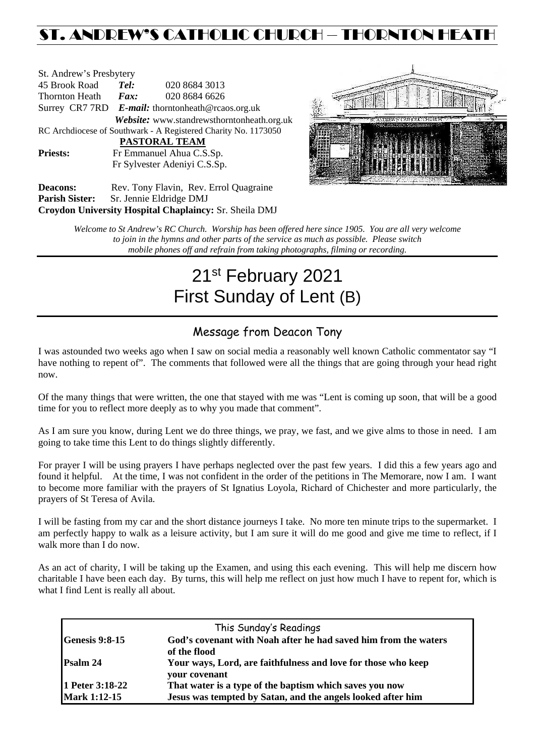# ST. ANDREW'S CATHOLIC CHURCH – THORNTON HEAT

| St. Andrew's Presbytery                                        |                                                   |                                     |  |  |  |  |
|----------------------------------------------------------------|---------------------------------------------------|-------------------------------------|--|--|--|--|
| 45 Brook Road                                                  | Tel:                                              | 020 8684 3013                       |  |  |  |  |
| Thornton Heath                                                 | $\boldsymbol{F}$ <i>ax</i> :                      | 020 8684 6626                       |  |  |  |  |
|                                                                | Surrey CR7 7RD E-mail: thorntonheath@rcaos.org.uk |                                     |  |  |  |  |
| Website: www.standrewsthorntonheath.org.uk                     |                                                   |                                     |  |  |  |  |
| RC Archdiocese of Southwark - A Registered Charity No. 1173050 |                                                   |                                     |  |  |  |  |
| PASTORAL TEAM                                                  |                                                   |                                     |  |  |  |  |
| <b>Priests:</b>                                                | Fr Emmanuel Ahua C.S.Sp.                          |                                     |  |  |  |  |
| Fr Sylvester Adeniyi C.S.Sp.                                   |                                                   |                                     |  |  |  |  |
| Deacons:                                                       |                                                   | Rev Tony Flavin Rev Errol Quagraine |  |  |  |  |



Deacons: Rev. Tony Flavin, Rev. Errol Quagraine **Parish Sister:** Sr. Jennie Eldridge DMJ **Croydon University Hospital Chaplaincy:** Sr. Sheila DMJ

> *Welcome to St Andrew's RC Church. Worship has been offered here since 1905. You are all very welcome to join in the hymns and other parts of the service as much as possible. Please switch mobile phones off and refrain from taking photographs, filming or recording.*

# 21st February 2021 First Sunday of Lent (B)

# Message from Deacon Tony

I was astounded two weeks ago when I saw on social media a reasonably well known Catholic commentator say "I have nothing to repent of". The comments that followed were all the things that are going through your head right now.

Of the many things that were written, the one that stayed with me was "Lent is coming up soon, that will be a good time for you to reflect more deeply as to why you made that comment".

As I am sure you know, during Lent we do three things, we pray, we fast, and we give alms to those in need. I am going to take time this Lent to do things slightly differently.

For prayer I will be using prayers I have perhaps neglected over the past few years. I did this a few years ago and found it helpful. At the time, I was not confident in the order of the petitions in The Memorare, now I am. I want to become more familiar with the prayers of St Ignatius Loyola, Richard of Chichester and more particularly, the prayers of St Teresa of Avila.

I will be fasting from my car and the short distance journeys I take. No more ten minute trips to the supermarket. I am perfectly happy to walk as a leisure activity, but I am sure it will do me good and give me time to reflect, if I walk more than I do now.

As an act of charity, I will be taking up the Examen, and using this each evening. This will help me discern how charitable I have been each day. By turns, this will help me reflect on just how much I have to repent for, which is what I find Lent is really all about.

| This Sunday's Readings |                                                                                 |  |  |  |  |
|------------------------|---------------------------------------------------------------------------------|--|--|--|--|
| <b>Genesis 9:8-15</b>  | God's covenant with Noah after he had saved him from the waters<br>of the flood |  |  |  |  |
| Psalm 24               | Your ways, Lord, are faithfulness and love for those who keep<br>your covenant  |  |  |  |  |
| 1 Peter 3:18-22        | That water is a type of the baptism which saves you now                         |  |  |  |  |
| <b>Mark 1:12-15</b>    | Jesus was tempted by Satan, and the angels looked after him                     |  |  |  |  |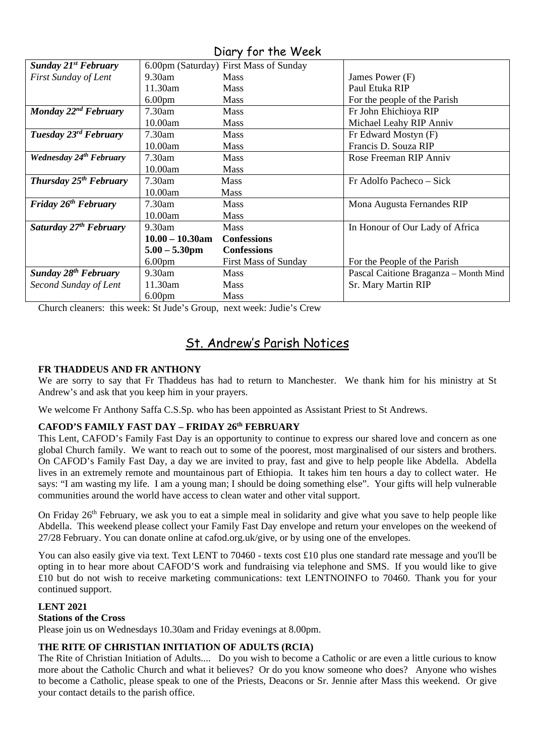| <b>Sunday 21st February</b>        |                    | 6.00pm (Saturday) First Mass of Sunday |                                       |
|------------------------------------|--------------------|----------------------------------------|---------------------------------------|
| First Sunday of Lent               | $9.30$ am          | <b>Mass</b>                            | James Power (F)                       |
|                                    | 11.30am            | <b>Mass</b>                            | Paul Etuka RIP                        |
|                                    | 6.00 <sub>pm</sub> | <b>Mass</b>                            | For the people of the Parish          |
| Monday $22^{nd}$ February          | $7.30$ am          | <b>Mass</b>                            | Fr John Ehichioya RIP                 |
|                                    | 10.00am            | <b>Mass</b>                            | Michael Leahy RIP Anniv               |
| Tuesday 23 <sup>rd</sup> February  | 7.30am             | <b>Mass</b>                            | Fr Edward Mostyn (F)                  |
|                                    | 10.00am            | Mass                                   | Francis D. Souza RIP                  |
| Wednesday 24th February            | $7.30$ am          | <b>Mass</b>                            | Rose Freeman RIP Anniv                |
|                                    | 10.00am            | <b>Mass</b>                            |                                       |
| Thursday 25 <sup>th</sup> February | 7.30am             | <b>Mass</b>                            | Fr Adolfo Pacheco – Sick              |
|                                    | 10.00am            | Mass                                   |                                       |
| Friday 26 <sup>th</sup> February   | 7.30am             | <b>Mass</b>                            | Mona Augusta Fernandes RIP            |
|                                    | 10.00am            | <b>Mass</b>                            |                                       |
| Saturday 27 <sup>th</sup> February | $9.30$ am          | Mass                                   | In Honour of Our Lady of Africa       |
|                                    | $10.00 - 10.30$ am | <b>Confessions</b>                     |                                       |
|                                    | $5.00 - 5.30$ pm   | <b>Confessions</b>                     |                                       |
|                                    | 6.00 <sub>pm</sub> | <b>First Mass of Sunday</b>            | For the People of the Parish          |
| <b>Sunday 28th February</b>        | $9.30$ am          | <b>Mass</b>                            | Pascal Caitione Braganza - Month Mind |
| Second Sunday of Lent              | 11.30am            | <b>Mass</b>                            | Sr. Mary Martin RIP                   |
|                                    | 6.00 <sub>pm</sub> | Mass                                   |                                       |

Diary for the Week

Church cleaners: this week: St Jude's Group, next week: Judie's Crew

# St. Andrew's Parish Notices

# **FR THADDEUS AND FR ANTHONY**

We are sorry to say that Fr Thaddeus has had to return to Manchester. We thank him for his ministry at St Andrew's and ask that you keep him in your prayers.

We welcome Fr Anthony Saffa C.S.Sp. who has been appointed as Assistant Priest to St Andrews.

# **CAFOD'S FAMILY FAST DAY – FRIDAY 26th FEBRUARY**

This Lent, CAFOD's Family Fast Day is an opportunity to continue to express our shared love and concern as one global Church family. We want to reach out to some of the poorest, most marginalised of our sisters and brothers. On CAFOD's Family Fast Day, a day we are invited to pray, fast and give to help people like Abdella. Abdella lives in an extremely remote and mountainous part of Ethiopia. It takes him ten hours a day to collect water. He says: "I am wasting my life. I am a young man; I should be doing something else". Your gifts will help vulnerable communities around the world have access to clean water and other vital support.

On Friday 26<sup>th</sup> February, we ask you to eat a simple meal in solidarity and give what you save to help people like Abdella. This weekend please collect your Family Fast Day envelope and return your envelopes on the weekend of 27/28 February. You can donate online at cafod.org.uk/give, or by using one of the envelopes.

You can also easily give via text. Text LENT to 70460 - texts cost £10 plus one standard rate message and you'll be opting in to hear more about CAFOD'S work and fundraising via telephone and SMS. If you would like to give £10 but do not wish to receive marketing communications: text LENTNOINFO to 70460. Thank you for your continued support.

# **LENT 2021**

#### **Stations of the Cross**

Please join us on Wednesdays 10.30am and Friday evenings at 8.00pm.

# **THE RITE OF CHRISTIAN INITIATION OF ADULTS (RCIA)**

The Rite of Christian Initiation of Adults.... Do you wish to become a Catholic or are even a little curious to know more about the Catholic Church and what it believes? Or do you know someone who does? Anyone who wishes to become a Catholic, please speak to one of the Priests, Deacons or Sr. Jennie after Mass this weekend. Or give your contact details to the parish office.